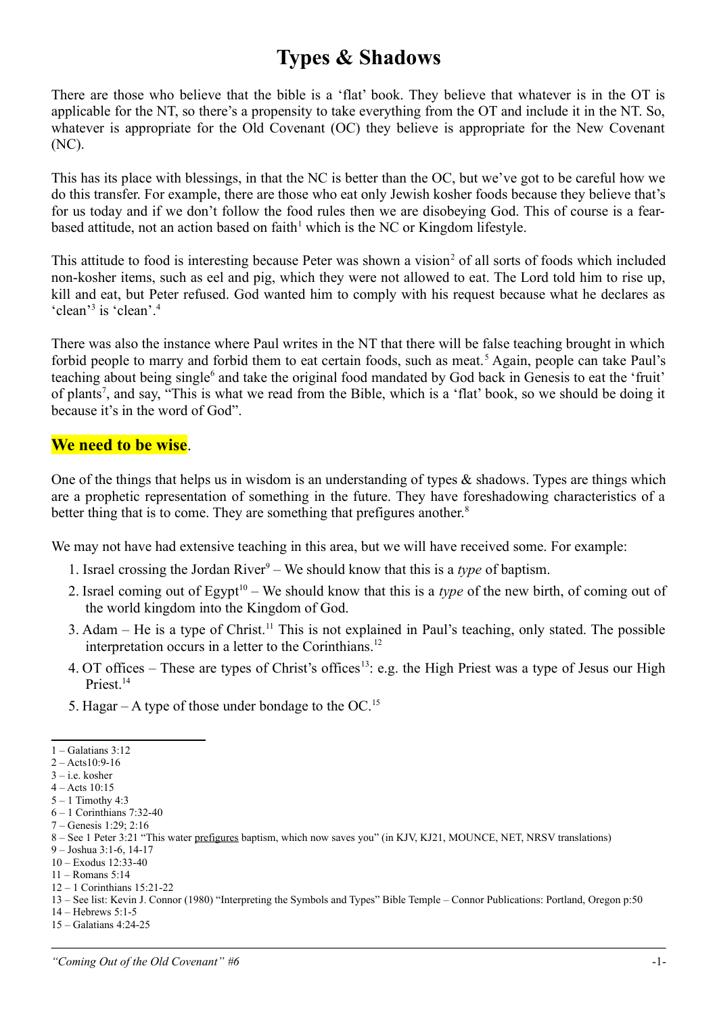## **Types & Shadows**

There are those who believe that the bible is a 'flat' book. They believe that whatever is in the OT is applicable for the NT, so there's a propensity to take everything from the OT and include it in the NT. So, whatever is appropriate for the Old Covenant (OC) they believe is appropriate for the New Covenant (NC).

This has its place with blessings, in that the NC is better than the OC, but we've got to be careful how we do this transfer. For example, there are those who eat only Jewish kosher foods because they believe that's for us today and if we don't follow the food rules then we are disobeying God. This of course is a fear-based attitude, not an action based on faith<sup>[1](#page-0-0)</sup> which is the NC or Kingdom lifestyle.

This attitude to food is interesting because Peter was shown a vision<sup>[2](#page-0-1)</sup> of all sorts of foods which included non-kosher items, such as eel and pig, which they were not allowed to eat. The Lord told him to rise up, kill and eat, but Peter refused. God wanted him to comply with his request because what he declares as 'clean'<sup>[3](#page-0-2)</sup> is 'clean'.<sup>[4](#page-0-3)</sup>

There was also the instance where Paul writes in the NT that there will be false teaching brought in which forbid people to marry and forbid them to eat certain foods, such as meat.<sup>[5](#page-0-4)</sup> Again, people can take Paul's teaching about being single<sup>[6](#page-0-5)</sup> and take the original food mandated by God back in Genesis to eat the 'fruit' of plants<sup>[7](#page-0-6)</sup>, and say, "This is what we read from the Bible, which is a 'flat' book, so we should be doing it because it's in the word of God".

## **We need to be wise**.

One of the things that helps us in wisdom is an understanding of types  $\&$  shadows. Types are things which are a prophetic representation of something in the future. They have foreshadowing characteristics of a better thing that is to come. They are something that prefigures another.<sup>[8](#page-0-7)</sup>

We may not have had extensive teaching in this area, but we will have received some. For example:

- 1. Israel crossing the Jordan River<sup>[9](#page-0-8)</sup> We should know that this is a *type* of baptism.
- 2. Israel coming out of  $\text{Egvpt}^{10}$  $\text{Egvpt}^{10}$  $\text{Egvpt}^{10}$  We should know that this is a *type* of the new birth, of coming out of the world kingdom into the Kingdom of God.
- 3. Adam He is a type of Christ.[11](#page-0-10) This is not explained in Paul's teaching, only stated. The possible interpretation occurs in a letter to the Corinthians.<sup>[12](#page-0-11)</sup>
- 4. OT offices These are types of Christ's offices<sup>[13](#page-0-12)</sup>: e.g. the High Priest was a type of Jesus our High Priest.<sup>[14](#page-0-13)</sup>
- 5. Hagar A type of those under bondage to the OC.<sup>[15](#page-0-14)</sup>

<span id="page-0-13"></span>14 – Hebrews 5:1-5

<span id="page-0-0"></span><sup>1 –</sup> Galatians 3:12

<span id="page-0-1"></span><sup>2 –</sup> Acts10:9-16

<span id="page-0-2"></span><sup>3 –</sup> i.e. kosher

<span id="page-0-3"></span><sup>4 –</sup> Acts 10:15  $5 - 1$  Timothy 4:3

<span id="page-0-5"></span><span id="page-0-4"></span><sup>6 – 1</sup> Corinthians 7:32-40

<span id="page-0-6"></span><sup>7 –</sup> Genesis 1:29; 2:16

<span id="page-0-7"></span><sup>8 –</sup> See 1 Peter 3:21 "This water prefigures baptism, which now saves you" (in KJV, KJ21, MOUNCE, NET, NRSV translations)

<span id="page-0-8"></span><sup>9 –</sup> Joshua 3:1-6, 14-17

<span id="page-0-9"></span><sup>10 –</sup> Exodus 12:33-40

<span id="page-0-10"></span><sup>11 –</sup> Romans 5:14

<span id="page-0-11"></span><sup>12 – 1</sup> Corinthians 15:21-22

<span id="page-0-12"></span><sup>13 –</sup> See list: Kevin J. Connor (1980) "Interpreting the Symbols and Types" Bible Temple – Connor Publications: Portland, Oregon p:50

<span id="page-0-14"></span><sup>15 –</sup> Galatians 4:24-25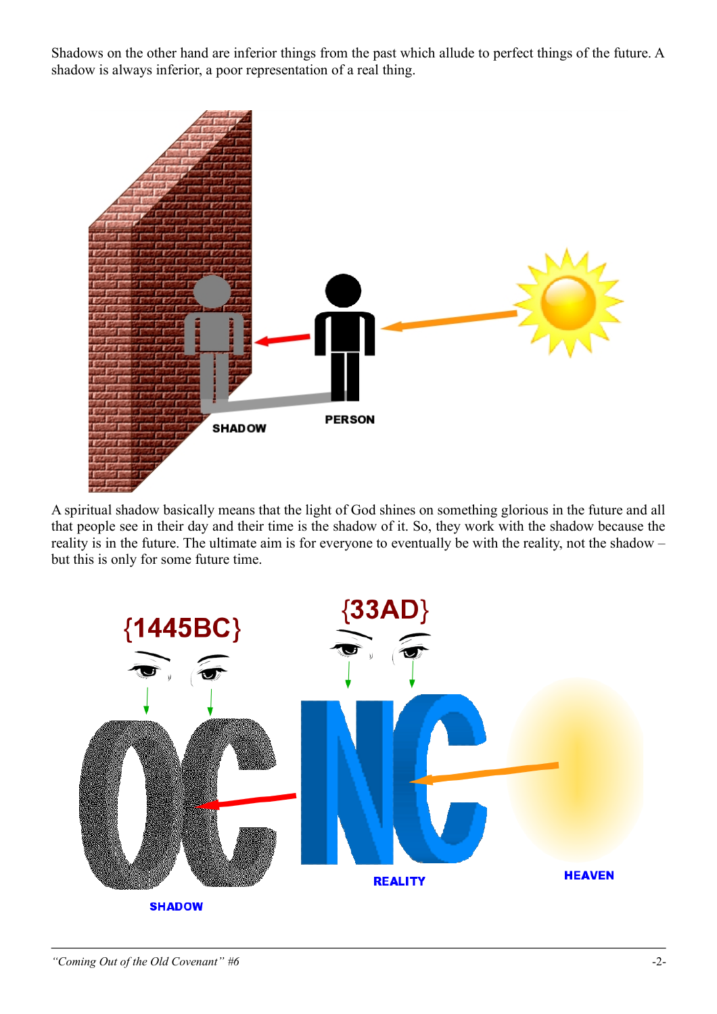Shadows on the other hand are inferior things from the past which allude to perfect things of the future. A shadow is always inferior, a poor representation of a real thing.



A spiritual shadow basically means that the light of God shines on something glorious in the future and all that people see in their day and their time is the shadow of it. So, they work with the shadow because the reality is in the future. The ultimate aim is for everyone to eventually be with the reality, not the shadow – but this is only for some future time.